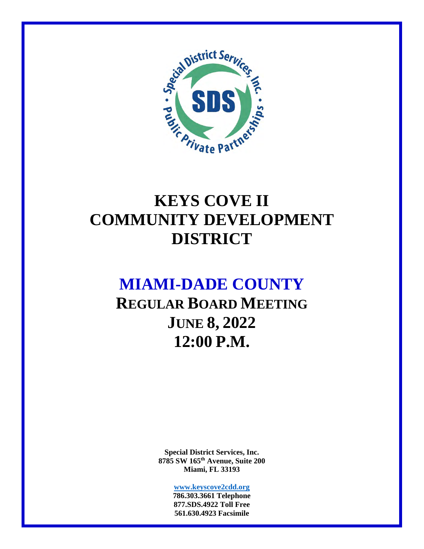

# **KEYS COVE II COMMUNITY DEVELOPMENT DISTRICT**

## **MIAMI-DADE COUNTY**

**REGULAR BOARD MEETING JUNE 8, 2022 12:00 P.M.** 

> **Special District Services, Inc. 8785 SW 165th Avenue, Suite 200 Miami, FL 33193**

> > **www.keyscove2cdd.org 786.303.3661 Telephone 877.SDS.4922 Toll Free 561.630.4923 Facsimile**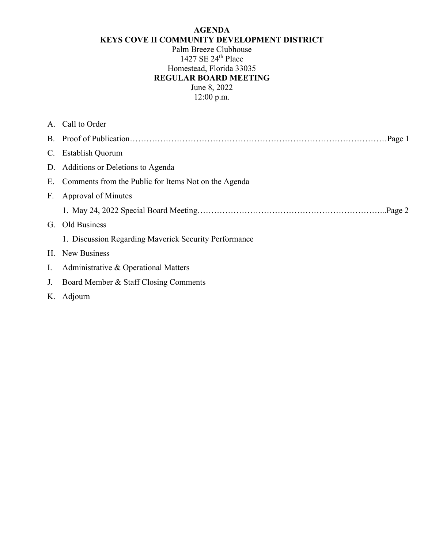#### **AGENDA KEYS COVE II COMMUNITY DEVELOPMENT DISTRICT**

Palm Breeze Clubhouse 1427 SE 24th Place Homestead, Florida 33035 **REGULAR BOARD MEETING**  June 8, 2022

12:00 p.m.

|                | A. Call to Order                                      |
|----------------|-------------------------------------------------------|
|                |                                                       |
|                | C. Establish Quorum                                   |
|                | D. Additions or Deletions to Agenda                   |
| Е.             | Comments from the Public for Items Not on the Agenda  |
| F.             | Approval of Minutes                                   |
|                |                                                       |
| G.             | Old Business                                          |
|                | 1. Discussion Regarding Maverick Security Performance |
|                | H. New Business                                       |
| $\mathbf{I}$ . | Administrative & Operational Matters                  |
| J.             | Board Member & Staff Closing Comments                 |
|                | K. Adjourn                                            |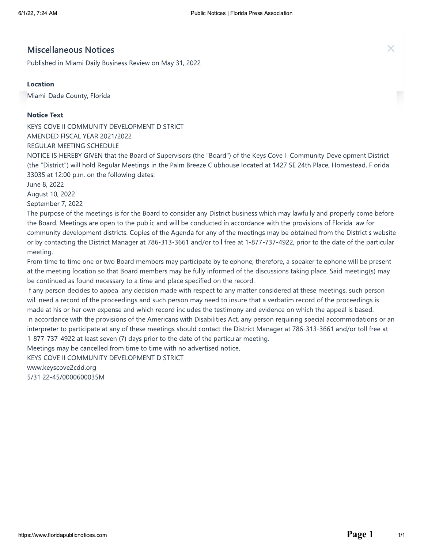#\$%&'(()\*'+,%-+.\$&'% /012345673893:;3<:32=>0438644?6@36AB89:=CDEFGFF HIJKLMIN 93:;3O<:76PB08Q=ER2BS37: TILMJUVUWL XYZ[P\]Y^^P\99\_`^aZ<Y]Yb\/9Y`a<^[a?^Pa c9Y`<Y<R^[PcbZYc?FGFDdFGFF

REGULAR MEETING SCHEDULE

NOTICE IS HEREBY GIVEN that the Board of Supervisors (the "Board") of the Keys Cove II Community Development District (the "District") will hold Regular Meetings in the Palm Breeze Clubhouse located at 1427 SE 24th Place, Homestead, Florida 33035 at 12:00 p.m. on the following dates:

June 8, 2022

August 10, 2022

September 7, 2022

The purpose of the meetings is for the Board to consider any District business which may lawfully and properly come before the Board. Meetings are open to the public and will be conducted in accordance with the provisions of Florida law for community development districts. Copies of the Agenda for any of the meetings may be obtained from the District's website or by contacting the District Manager at 786-313-3661 and/or toll free at 1-877-737-4922, prior to the date of the particular meeting.

From time to time one or two Board members may participate by telephone; therefore, a speaker telephone will be present at the meeting location so that Board members may be fully informed of the discussions taking place. Said meeting(s) may be continued as found necessary to a time and place specified on the record.

If any person decides to appeal any decision made with respect to any matter considered at these meetings, such person will need a record of the proceedings and such person may need to insure that a verbatim record of the proceedings is made at his or her own expense and which record includes the testimony and evidence on which the appeal is based. In accordance with the provisions of the Americans with Disabilities Act, any person requiring special accommodations or an interpreter to participate at any of these meetings should contact the District Manager at 786-313-3661 and/or toll free at 1-877-737-4922 at least seven (7) days prior to the date of the particular meeting.

Meetings may be cancelled from time to time with no advertised notice.

KEYS COVE II COMMUNITY DEVELOPMENT DISTRICT

www.keyscove2cdd.org 5/31 22-45/0000600035M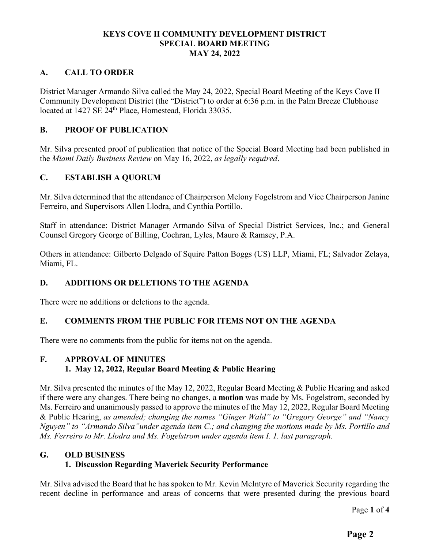#### **KEYS COVE II COMMUNITY DEVELOPMENT DISTRICT SPECIAL BOARD MEETING MAY 24, 2022**

#### **A. CALL TO ORDER**

District Manager Armando Silva called the May 24, 2022, Special Board Meeting of the Keys Cove II Community Development District (the "District") to order at 6:36 p.m. in the Palm Breeze Clubhouse located at 1427 SE 24<sup>th</sup> Place, Homestead, Florida 33035.

#### **B. PROOF OF PUBLICATION**

Mr. Silva presented proof of publication that notice of the Special Board Meeting had been published in the *Miami Daily Business Review* on May 16, 2022, *as legally required*.

#### **C. ESTABLISH A QUORUM**

Mr. Silva determined that the attendance of Chairperson Melony Fogelstrom and Vice Chairperson Janine Ferreiro, and Supervisors Allen Llodra, and Cynthia Portillo.

Staff in attendance: District Manager Armando Silva of Special District Services, Inc.; and General Counsel Gregory George of Billing, Cochran, Lyles, Mauro & Ramsey, P.A.

Others in attendance: Gilberto Delgado of Squire Patton Boggs (US) LLP, Miami, FL; Salvador Zelaya, Miami, FL.

#### **D. ADDITIONS OR DELETIONS TO THE AGENDA**

There were no additions or deletions to the agenda.

#### **E. COMMENTS FROM THE PUBLIC FOR ITEMS NOT ON THE AGENDA**

There were no comments from the public for items not on the agenda.

#### **F. APPROVAL OF MINUTES**

#### **1. May 12, 2022, Regular Board Meeting & Public Hearing**

Mr. Silva presented the minutes of the May 12, 2022, Regular Board Meeting & Public Hearing and asked if there were any changes. There being no changes, a **motion** was made by Ms. Fogelstrom, seconded by Ms. Ferreiro and unanimously passed to approve the minutes of the May 12, 2022, Regular Board Meeting & Public Hearing, *as amended; changing the names "Ginger Wald" to "Gregory George" and "Nancy Nguyen" to "Armando Silva"under agenda item C.; and changing the motions made by Ms. Portillo and Ms. Ferreiro to Mr. Llodra and Ms. Fogelstrom under agenda item I. 1. last paragraph.*

#### **G. OLD BUSINESS**

#### **1. Discussion Regarding Maverick Security Performance**

Mr. Silva advised the Board that he has spoken to Mr. Kevin McIntyre of Maverick Security regarding the recent decline in performance and areas of concerns that were presented during the previous board

Page **1** of **4**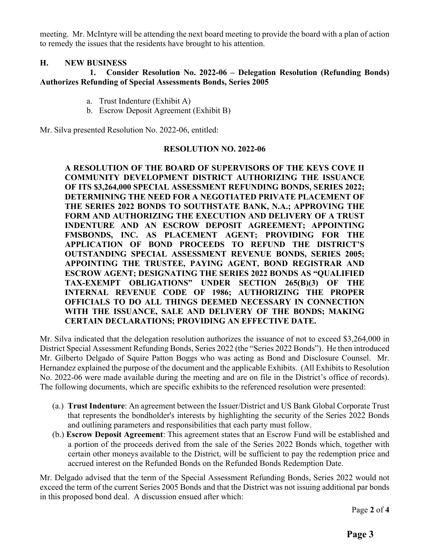meeting. Mr. McIntyre will be attending the next board meeting to provide the board with a plan of action to remedy the issues that the residents have brought to his attention.

#### **H. NEW BUSINESS**

#### **1. Consider Resolution No. 2022-06 – Delegation Resolution (Refunding Bonds) Authorizes Refunding of Special Assessments Bonds, Series 2005**

- a. Trust Indenture (Exhibit A)
- b. Escrow Deposit Agreement (Exhibit B)

Mr. Silva presented Resolution No. 2022-06, entitled:

#### **RESOLUTION NO. 2022-06**

**A RESOLUTION OF THE BOARD OF SUPERVISORS OF THE KEYS COVE II COMMUNITY DEVELOPMENT DISTRICT AUTHORIZING THE ISSUANCE OF ITS \$3,264,000 SPECIAL ASSESSMENT REFUNDING BONDS, SERIES 2022; DETERMINING THE NEED FOR A NEGOTIATED PRIVATE PLACEMENT OF THE SERIES 2022 BONDS TO SOUTHSTATE BANK, N.A.; APPROVING THE FORM AND AUTHORIZING THE EXECUTION AND DELIVERY OF A TRUST INDENTURE AND AN ESCROW DEPOSIT AGREEMENT; APPOINTING FMSBONDS, INC. AS PLACEMENT AGENT; PROVIDING FOR THE APPLICATION OF BOND PROCEEDS TO REFUND THE DISTRICT'S OUTSTANDING SPECIAL ASSESSMENT REVENUE BONDS, SERIES 2005; APPOINTING THE TRUSTEE, PAYING AGENT, BOND REGISTRAR AND ESCROW AGENT; DESIGNATING THE SERIES 2022 BONDS AS "QUALIFIED TAX-EXEMPT OBLIGATIONS" UNDER SECTION 265(B)(3) OF THE INTERNAL REVENUE CODE OF 1986; AUTHORIZING THE PROPER OFFICIALS TO DO ALL THINGS DEEMED NECESSARY IN CONNECTION WITH THE ISSUANCE, SALE AND DELIVERY OF THE BONDS; MAKING CERTAIN DECLARATIONS; PROVIDING AN EFFECTIVE DATE.** 

Mr. Silva indicated that the delegation resolution authorizes the issuance of not to exceed \$3,264,000 in District Special Assessment Refunding Bonds, Series 2022 (the "Series 2022 Bonds"). He then introduced Mr. Gilberto Delgado of Squire Patton Boggs who was acting as Bond and Disclosure Counsel. Mr. Hernandez explained the purpose of the document and the applicable Exhibits. (All Exhibits to Resolution No. 2022-06 were made available during the meeting and are on file in the District's office of records). The following documents, which are specific exhibits to the referenced resolution were presented:

- (a.) **Trust Indenture**: An agreement between the Issuer/District and US Bank Global Corporate Trust that represents the bondholder's interests by highlighting the security of the Series 2022 Bonds and outlining parameters and responsibilities that each party must follow.
- (b.) **Escrow Deposit Agreement**: This agreement states that an Escrow Fund will be established and a portion of the proceeds derived from the sale of the Series 2022 Bonds which, together with certain other moneys available to the District, will be sufficient to pay the redemption price and accrued interest on the Refunded Bonds on the Refunded Bonds Redemption Date.

Mr. Delgado advised that the term of the Special Assessment Refunding Bonds, Series 2022 would not exceed the term of the current Series 2005 Bonds and that the District was not issuing additional par bonds in this proposed bond deal. A discussion ensued after which:

Page **2** of **4**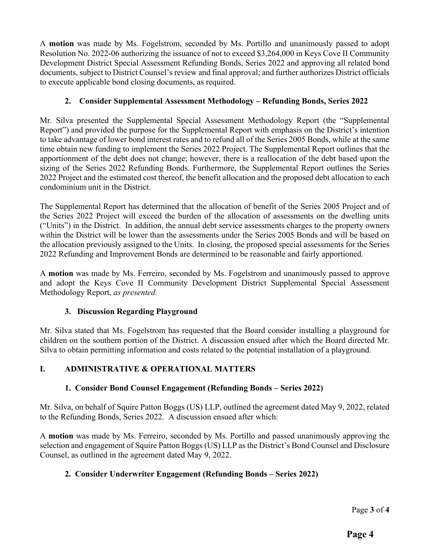A **motion** was made by Ms. Fogelstrom, seconded by Ms. Portillo and unanimously passed to adopt Resolution No. 2022-06 authorizing the issuance of not to exceed \$3,264,000 in Keys Cove II Community Development District Special Assessment Refunding Bonds, Series 2022 and approving all related bond documents, subject to District Counsel's review and final approval; and further authorizes District officials to execute applicable bond closing documents, as required.

### **2. Consider Supplemental Assessment Methodology – Refunding Bonds, Series 2022**

Mr. Silva presented the Supplemental Special Assessment Methodology Report (the "Supplemental Report") and provided the purpose for the Supplemental Report with emphasis on the District's intention to take advantage of lower bond interest rates and to refund all of the Series 2005 Bonds, while at the same time obtain new funding to implement the Series 2022 Project. The Supplemental Report outlines that the apportionment of the debt does not change; however, there is a reallocation of the debt based upon the sizing of the Series 2022 Refunding Bonds. Furthermore, the Supplemental Report outlines the Series 2022 Project and the estimated cost thereof, the benefit allocation and the proposed debt allocation to each condominium unit in the District.

The Supplemental Report has determined that the allocation of benefit of the Series 2005 Project and of the Series 2022 Project will exceed the burden of the allocation of assessments on the dwelling units ("Units") in the District. In addition, the annual debt service assessments charges to the property owners within the District will be lower than the assessments under the Series 2005 Bonds and will be based on the allocation previously assigned to the Units. In closing, the proposed special assessments for the Series 2022 Refunding and Improvement Bonds are determined to be reasonable and fairly apportioned.

A **motion** was made by Ms. Ferreiro, seconded by Ms. Fogelstrom and unanimously passed to approve and adopt the Keys Cove II Community Development District Supplemental Special Assessment Methodology Report, *as presented.* 

#### **3. Discussion Regarding Playground**

Mr. Silva stated that Ms. Fogelstrom has requested that the Board consider installing a playground for children on the southern portion of the District. A discussion ensued after which the Board directed Mr. Silva to obtain permitting information and costs related to the potential installation of a playground.

### **I. ADMINISTRATIVE & OPERATIONAL MATTERS**

#### **1. Consider Bond Counsel Engagement (Refunding Bonds – Series 2022)**

Mr. Silva, on behalf of Squire Patton Boggs (US) LLP, outlined the agreement dated May 9, 2022, related to the Refunding Bonds, Series 2022. A discussion ensued after which:

A **motion** was made by Ms. Ferreiro, seconded by Ms. Portillo and passed unanimously approving the selection and engagement of Squire Patton Boggs (US) LLP as the District's Bond Counsel and Disclosure Counsel, as outlined in the agreement dated May 9, 2022.

#### **2. Consider Underwriter Engagement (Refunding Bonds – Series 2022)**